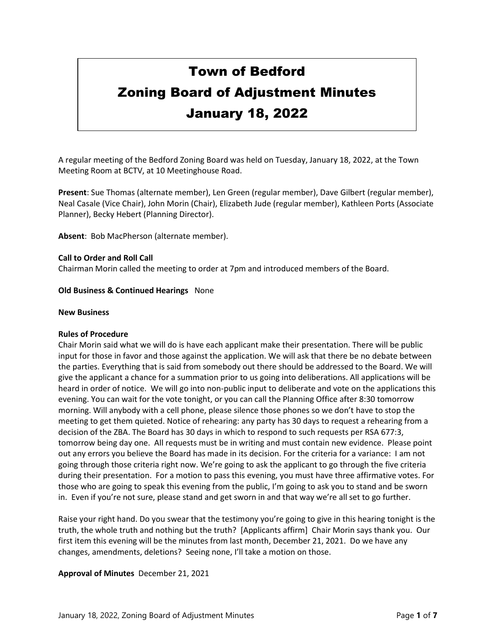# Town of Bedford

# Zoning Board of Adjustment Minutes January 18, 2022

A regular meeting of the Bedford Zoning Board was held on Tuesday, January 18, 2022, at the Town Meeting Room at BCTV, at 10 Meetinghouse Road.

**Present**: Sue Thomas (alternate member), Len Green (regular member), Dave Gilbert (regular member), Neal Casale (Vice Chair), John Morin (Chair), Elizabeth Jude (regular member), Kathleen Ports (Associate Planner), Becky Hebert (Planning Director).

**Absent**: Bob MacPherson (alternate member).

#### **Call to Order and Roll Call**

Chairman Morin called the meeting to order at 7pm and introduced members of the Board.

#### **Old Business & Continued Hearings** None

#### **New Business**

#### **Rules of Procedure**

Chair Morin said what we will do is have each applicant make their presentation. There will be public input for those in favor and those against the application. We will ask that there be no debate between the parties. Everything that is said from somebody out there should be addressed to the Board. We will give the applicant a chance for a summation prior to us going into deliberations. All applications will be heard in order of notice. We will go into non-public input to deliberate and vote on the applications this evening. You can wait for the vote tonight, or you can call the Planning Office after 8:30 tomorrow morning. Will anybody with a cell phone, please silence those phones so we don't have to stop the meeting to get them quieted. Notice of rehearing: any party has 30 days to request a rehearing from a decision of the ZBA. The Board has 30 days in which to respond to such requests per RSA 677:3, tomorrow being day one. All requests must be in writing and must contain new evidence. Please point out any errors you believe the Board has made in its decision. For the criteria for a variance: I am not going through those criteria right now. We're going to ask the applicant to go through the five criteria during their presentation. For a motion to pass this evening, you must have three affirmative votes. For those who are going to speak this evening from the public, I'm going to ask you to stand and be sworn in. Even if you're not sure, please stand and get sworn in and that way we're all set to go further.

Raise your right hand. Do you swear that the testimony you're going to give in this hearing tonight is the truth, the whole truth and nothing but the truth? [Applicants affirm] Chair Morin says thank you. Our first item this evening will be the minutes from last month, December 21, 2021. Do we have any changes, amendments, deletions? Seeing none, I'll take a motion on those.

# **Approval of Minutes** December 21, 2021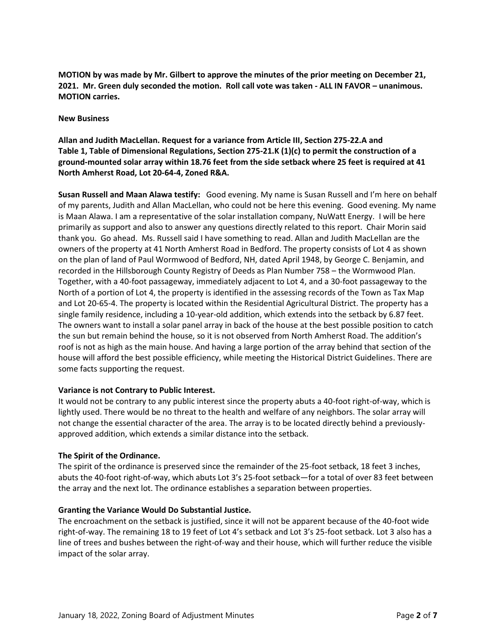**MOTION by was made by Mr. Gilbert to approve the minutes of the prior meeting on December 21, 2021. Mr. Green duly seconded the motion. Roll call vote was taken - ALL IN FAVOR – unanimous. MOTION carries.**

#### **New Business**

# **Allan and Judith MacLellan. Request for a variance from Article III, Section 275-22.A and Table 1, Table of Dimensional Regulations, Section 275-21.K (1)(c) to permit the construction of a ground-mounted solar array within 18.76 feet from the side setback where 25 feet is required at 41 North Amherst Road, Lot 20-64-4, Zoned R&A.**

**Susan Russell and Maan Alawa testify:** Good evening. My name is Susan Russell and I'm here on behalf of my parents, Judith and Allan MacLellan, who could not be here this evening. Good evening. My name is Maan Alawa. I am a representative of the solar installation company, NuWatt Energy. I will be here primarily as support and also to answer any questions directly related to this report. Chair Morin said thank you. Go ahead. Ms. Russell said I have something to read. Allan and Judith MacLellan are the owners of the property at 41 North Amherst Road in Bedford. The property consists of Lot 4 as shown on the plan of land of Paul Wormwood of Bedford, NH, dated April 1948, by George C. Benjamin, and recorded in the Hillsborough County Registry of Deeds as Plan Number 758 – the Wormwood Plan. Together, with a 40-foot passageway, immediately adjacent to Lot 4, and a 30-foot passageway to the North of a portion of Lot 4, the property is identified in the assessing records of the Town as Tax Map and Lot 20-65-4. The property is located within the Residential Agricultural District. The property has a single family residence, including a 10-year-old addition, which extends into the setback by 6.87 feet. The owners want to install a solar panel array in back of the house at the best possible position to catch the sun but remain behind the house, so it is not observed from North Amherst Road. The addition's roof is not as high as the main house. And having a large portion of the array behind that section of the house will afford the best possible efficiency, while meeting the Historical District Guidelines. There are some facts supporting the request.

# **Variance is not Contrary to Public Interest.**

It would not be contrary to any public interest since the property abuts a 40-foot right-of-way, which is lightly used. There would be no threat to the health and welfare of any neighbors. The solar array will not change the essential character of the area. The array is to be located directly behind a previouslyapproved addition, which extends a similar distance into the setback.

# **The Spirit of the Ordinance.**

The spirit of the ordinance is preserved since the remainder of the 25-foot setback, 18 feet 3 inches, abuts the 40-foot right-of-way, which abuts Lot 3's 25-foot setback—for a total of over 83 feet between the array and the next lot. The ordinance establishes a separation between properties.

# **Granting the Variance Would Do Substantial Justice.**

The encroachment on the setback is justified, since it will not be apparent because of the 40-foot wide right-of-way. The remaining 18 to 19 feet of Lot 4's setback and Lot 3's 25-foot setback. Lot 3 also has a line of trees and bushes between the right-of-way and their house, which will further reduce the visible impact of the solar array.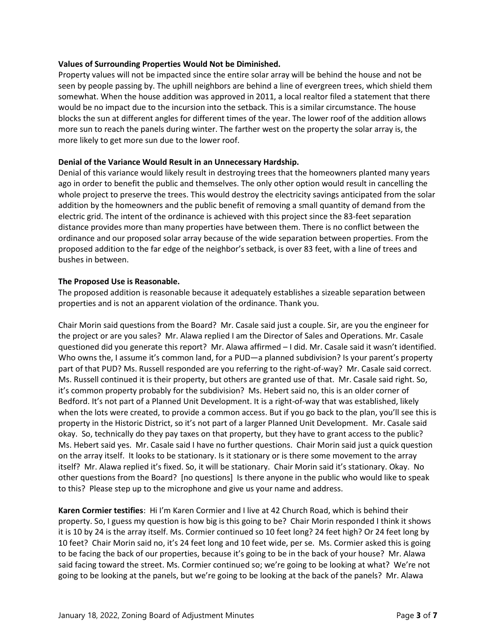# **Values of Surrounding Properties Would Not be Diminished.**

Property values will not be impacted since the entire solar array will be behind the house and not be seen by people passing by. The uphill neighbors are behind a line of evergreen trees, which shield them somewhat. When the house addition was approved in 2011, a local realtor filed a statement that there would be no impact due to the incursion into the setback. This is a similar circumstance. The house blocks the sun at different angles for different times of the year. The lower roof of the addition allows more sun to reach the panels during winter. The farther west on the property the solar array is, the more likely to get more sun due to the lower roof.

#### **Denial of the Variance Would Result in an Unnecessary Hardship.**

Denial of this variance would likely result in destroying trees that the homeowners planted many years ago in order to benefit the public and themselves. The only other option would result in cancelling the whole project to preserve the trees. This would destroy the electricity savings anticipated from the solar addition by the homeowners and the public benefit of removing a small quantity of demand from the electric grid. The intent of the ordinance is achieved with this project since the 83-feet separation distance provides more than many properties have between them. There is no conflict between the ordinance and our proposed solar array because of the wide separation between properties. From the proposed addition to the far edge of the neighbor's setback, is over 83 feet, with a line of trees and bushes in between.

#### **The Proposed Use is Reasonable.**

The proposed addition is reasonable because it adequately establishes a sizeable separation between properties and is not an apparent violation of the ordinance. Thank you.

Chair Morin said questions from the Board? Mr. Casale said just a couple. Sir, are you the engineer for the project or are you sales? Mr. Alawa replied I am the Director of Sales and Operations. Mr. Casale questioned did you generate this report? Mr. Alawa affirmed – I did. Mr. Casale said it wasn't identified. Who owns the, I assume it's common land, for a PUD—a planned subdivision? Is your parent's property part of that PUD? Ms. Russell responded are you referring to the right-of-way? Mr. Casale said correct. Ms. Russell continued it is their property, but others are granted use of that. Mr. Casale said right. So, it's common property probably for the subdivision? Ms. Hebert said no, this is an older corner of Bedford. It's not part of a Planned Unit Development. It is a right-of-way that was established, likely when the lots were created, to provide a common access. But if you go back to the plan, you'll see this is property in the Historic District, so it's not part of a larger Planned Unit Development. Mr. Casale said okay. So, technically do they pay taxes on that property, but they have to grant access to the public? Ms. Hebert said yes. Mr. Casale said I have no further questions. Chair Morin said just a quick question on the array itself. It looks to be stationary. Is it stationary or is there some movement to the array itself? Mr. Alawa replied it's fixed. So, it will be stationary. Chair Morin said it's stationary. Okay. No other questions from the Board? [no questions] Is there anyone in the public who would like to speak to this? Please step up to the microphone and give us your name and address.

**Karen Cormier testifies**: Hi I'm Karen Cormier and I live at 42 Church Road, which is behind their property. So, I guess my question is how big is this going to be? Chair Morin responded I think it shows it is 10 by 24 is the array itself. Ms. Cormier continued so 10 feet long? 24 feet high? Or 24 feet long by 10 feet? Chair Morin said no, it's 24 feet long and 10 feet wide, per se. Ms. Cormier asked this is going to be facing the back of our properties, because it's going to be in the back of your house? Mr. Alawa said facing toward the street. Ms. Cormier continued so; we're going to be looking at what? We're not going to be looking at the panels, but we're going to be looking at the back of the panels? Mr. Alawa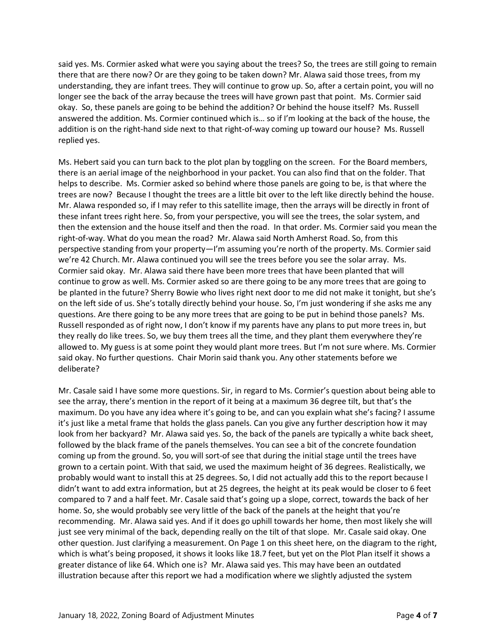said yes. Ms. Cormier asked what were you saying about the trees? So, the trees are still going to remain there that are there now? Or are they going to be taken down? Mr. Alawa said those trees, from my understanding, they are infant trees. They will continue to grow up. So, after a certain point, you will no longer see the back of the array because the trees will have grown past that point. Ms. Cormier said okay. So, these panels are going to be behind the addition? Or behind the house itself? Ms. Russell answered the addition. Ms. Cormier continued which is… so if I'm looking at the back of the house, the addition is on the right-hand side next to that right-of-way coming up toward our house? Ms. Russell replied yes.

Ms. Hebert said you can turn back to the plot plan by toggling on the screen. For the Board members, there is an aerial image of the neighborhood in your packet. You can also find that on the folder. That helps to describe. Ms. Cormier asked so behind where those panels are going to be, is that where the trees are now? Because I thought the trees are a little bit over to the left like directly behind the house. Mr. Alawa responded so, if I may refer to this satellite image, then the arrays will be directly in front of these infant trees right here. So, from your perspective, you will see the trees, the solar system, and then the extension and the house itself and then the road. In that order. Ms. Cormier said you mean the right-of-way. What do you mean the road? Mr. Alawa said North Amherst Road. So, from this perspective standing from your property—I'm assuming you're north of the property. Ms. Cormier said we're 42 Church. Mr. Alawa continued you will see the trees before you see the solar array. Ms. Cormier said okay. Mr. Alawa said there have been more trees that have been planted that will continue to grow as well. Ms. Cormier asked so are there going to be any more trees that are going to be planted in the future? Sherry Bowie who lives right next door to me did not make it tonight, but she's on the left side of us. She's totally directly behind your house. So, I'm just wondering if she asks me any questions. Are there going to be any more trees that are going to be put in behind those panels? Ms. Russell responded as of right now, I don't know if my parents have any plans to put more trees in, but they really do like trees. So, we buy them trees all the time, and they plant them everywhere they're allowed to. My guess is at some point they would plant more trees. But I'm not sure where. Ms. Cormier said okay. No further questions. Chair Morin said thank you. Any other statements before we deliberate?

Mr. Casale said I have some more questions. Sir, in regard to Ms. Cormier's question about being able to see the array, there's mention in the report of it being at a maximum 36 degree tilt, but that's the maximum. Do you have any idea where it's going to be, and can you explain what she's facing? I assume it's just like a metal frame that holds the glass panels. Can you give any further description how it may look from her backyard? Mr. Alawa said yes. So, the back of the panels are typically a white back sheet, followed by the black frame of the panels themselves. You can see a bit of the concrete foundation coming up from the ground. So, you will sort-of see that during the initial stage until the trees have grown to a certain point. With that said, we used the maximum height of 36 degrees. Realistically, we probably would want to install this at 25 degrees. So, I did not actually add this to the report because I didn't want to add extra information, but at 25 degrees, the height at its peak would be closer to 6 feet compared to 7 and a half feet. Mr. Casale said that's going up a slope, correct, towards the back of her home. So, she would probably see very little of the back of the panels at the height that you're recommending. Mr. Alawa said yes. And if it does go uphill towards her home, then most likely she will just see very minimal of the back, depending really on the tilt of that slope. Mr. Casale said okay. One other question. Just clarifying a measurement. On Page 1 on this sheet here, on the diagram to the right, which is what's being proposed, it shows it looks like 18.7 feet, but yet on the Plot Plan itself it shows a greater distance of like 64. Which one is? Mr. Alawa said yes. This may have been an outdated illustration because after this report we had a modification where we slightly adjusted the system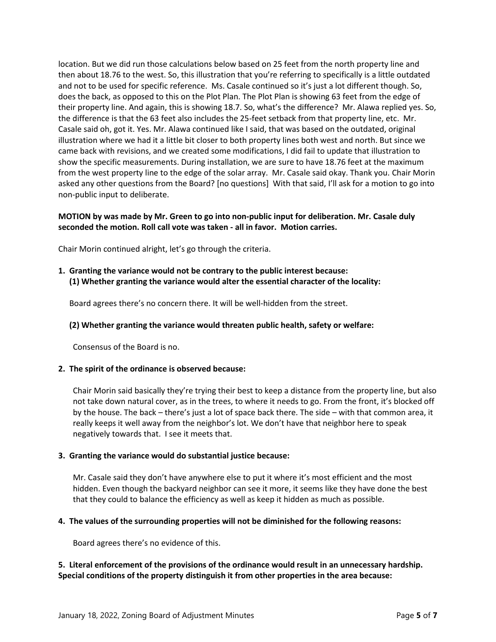location. But we did run those calculations below based on 25 feet from the north property line and then about 18.76 to the west. So, this illustration that you're referring to specifically is a little outdated and not to be used for specific reference. Ms. Casale continued so it's just a lot different though. So, does the back, as opposed to this on the Plot Plan. The Plot Plan is showing 63 feet from the edge of their property line. And again, this is showing 18.7. So, what's the difference? Mr. Alawa replied yes. So, the difference is that the 63 feet also includes the 25-feet setback from that property line, etc. Mr. Casale said oh, got it. Yes. Mr. Alawa continued like I said, that was based on the outdated, original illustration where we had it a little bit closer to both property lines both west and north. But since we came back with revisions, and we created some modifications, I did fail to update that illustration to show the specific measurements. During installation, we are sure to have 18.76 feet at the maximum from the west property line to the edge of the solar array. Mr. Casale said okay. Thank you. Chair Morin asked any other questions from the Board? [no questions] With that said, I'll ask for a motion to go into non-public input to deliberate.

# **MOTION by was made by Mr. Green to go into non-public input for deliberation. Mr. Casale duly seconded the motion. Roll call vote was taken - all in favor. Motion carries.**

Chair Morin continued alright, let's go through the criteria.

**1. Granting the variance would not be contrary to the public interest because: (1) Whether granting the variance would alter the essential character of the locality:**

Board agrees there's no concern there. It will be well-hidden from the street.

#### **(2) Whether granting the variance would threaten public health, safety or welfare:**

Consensus of the Board is no.

#### **2. The spirit of the ordinance is observed because:**

Chair Morin said basically they're trying their best to keep a distance from the property line, but also not take down natural cover, as in the trees, to where it needs to go. From the front, it's blocked off by the house. The back – there's just a lot of space back there. The side – with that common area, it really keeps it well away from the neighbor's lot. We don't have that neighbor here to speak negatively towards that. I see it meets that.

#### **3. Granting the variance would do substantial justice because:**

Mr. Casale said they don't have anywhere else to put it where it's most efficient and the most hidden. Even though the backyard neighbor can see it more, it seems like they have done the best that they could to balance the efficiency as well as keep it hidden as much as possible.

#### **4. The values of the surrounding properties will not be diminished for the following reasons:**

Board agrees there's no evidence of this.

# **5. Literal enforcement of the provisions of the ordinance would result in an unnecessary hardship. Special conditions of the property distinguish it from other properties in the area because:**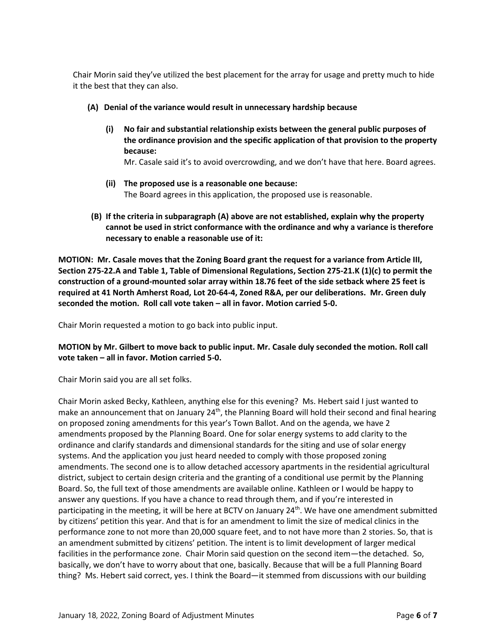Chair Morin said they've utilized the best placement for the array for usage and pretty much to hide it the best that they can also.

- **(A) Denial of the variance would result in unnecessary hardship because** 
	- **(i) No fair and substantial relationship exists between the general public purposes of the ordinance provision and the specific application of that provision to the property because:**

Mr. Casale said it's to avoid overcrowding, and we don't have that here. Board agrees.

- **(ii) The proposed use is a reasonable one because:** The Board agrees in this application, the proposed use is reasonable.
- **(B) If the criteria in subparagraph (A) above are not established, explain why the property cannot be used in strict conformance with the ordinance and why a variance is therefore necessary to enable a reasonable use of it:**

**MOTION: Mr. Casale moves that the Zoning Board grant the request for a variance from Article III, Section 275-22.A and Table 1, Table of Dimensional Regulations, Section 275-21.K (1)(c) to permit the construction of a ground-mounted solar array within 18.76 feet of the side setback where 25 feet is required at 41 North Amherst Road, Lot 20-64-4, Zoned R&A, per our deliberations. Mr. Green duly seconded the motion. Roll call vote taken – all in favor. Motion carried 5-0.**

Chair Morin requested a motion to go back into public input.

**MOTION by Mr. Gilbert to move back to public input. Mr. Casale duly seconded the motion. Roll call vote taken – all in favor. Motion carried 5-0.**

Chair Morin said you are all set folks.

Chair Morin asked Becky, Kathleen, anything else for this evening? Ms. Hebert said I just wanted to make an announcement that on January  $24<sup>th</sup>$ , the Planning Board will hold their second and final hearing on proposed zoning amendments for this year's Town Ballot. And on the agenda, we have 2 amendments proposed by the Planning Board. One for solar energy systems to add clarity to the ordinance and clarify standards and dimensional standards for the siting and use of solar energy systems. And the application you just heard needed to comply with those proposed zoning amendments. The second one is to allow detached accessory apartments in the residential agricultural district, subject to certain design criteria and the granting of a conditional use permit by the Planning Board. So, the full text of those amendments are available online. Kathleen or I would be happy to answer any questions. If you have a chance to read through them, and if you're interested in participating in the meeting, it will be here at BCTV on January 24<sup>th</sup>. We have one amendment submitted by citizens' petition this year. And that is for an amendment to limit the size of medical clinics in the performance zone to not more than 20,000 square feet, and to not have more than 2 stories. So, that is an amendment submitted by citizens' petition. The intent is to limit development of larger medical facilities in the performance zone. Chair Morin said question on the second item—the detached. So, basically, we don't have to worry about that one, basically. Because that will be a full Planning Board thing? Ms. Hebert said correct, yes. I think the Board—it stemmed from discussions with our building